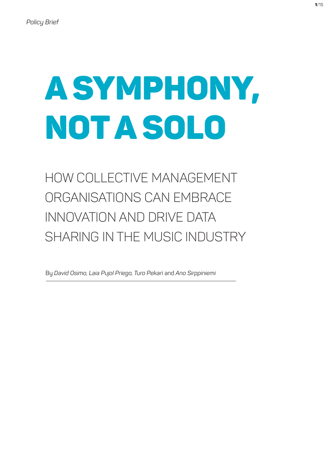# A Symphony, Not a Solo

# How Collective Management Organisations Can Embrace Innovation and Drive Data Sharing in the Music Industry

By *David Osimo, Laia Pujol Priego, Turo Pekari* and *Ano Sirppiniemi*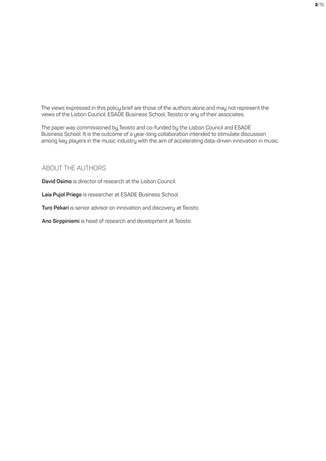The views expressed in this policy brief are those of the authors alone and may not represent the views of the Lisbon Council, ESADE Business School, Teosto or any of their associates.

The paper was commissioned by Teosto and co-funded by the Lisbon Council and ESADE Business School. It is the outcome of a year-long collaboration intended to stimulate discussion among key players in the music industry with the aim of accelerating data-driven innovation in music.

### About the Authors

**David Osimo** is director of research at the Lisbon Council.

**Laia Pujol Priego** is researcher at ESADE Business School.

**Turo Pekari** is senior advisor on innovation and discovery at Teosto.

**Ano Sirppiniemi** is head of research and development at Teosto.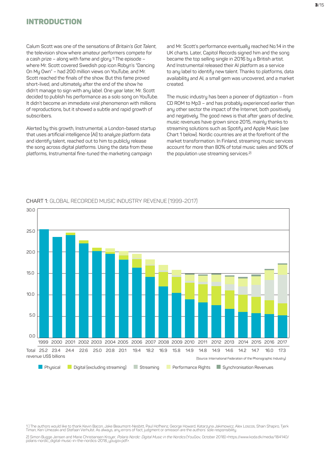### **INTRODUCTION**

Calum Scott was one of the sensations of *Britain's Got Talent*, the television show where amateur performers compete for a cash prize – along with fame and glory.1) The episode – where Mr. Scott covered Swedish pop icon Robyn's "Dancing On My Own" – had 200 million views on YouTube, and Mr. Scott reached the finals of the show. But this fame proved short-lived, and ultimately after the end of the show he didn't manage to sign with any label. One year later, Mr. Scott decided to publish his performance as a solo song on YouTube. It didn't become an immediate viral phenomenon with millions of reproductions, but it showed a subtle and rapid growth of subscribers.

Alerted by this growth, Instrumental, a London-based startup that uses artificial intelligence (AI) to analyze platform data and identify talent, reached out to him to publicly release the song across digital platforms. Using the data from these platforms, Instrumental fine-tuned the marketing campaign

and Mr. Scott's performance eventually reached No.14 in the UK charts. Later, Capitol Records signed him and the song became the top selling single in 2016 by a British artist. And Instrumental released their AI platform as a service to any label to identify new talent. Thanks to platforms, data availability and AI, a small gem was uncovered, and a market created.

The music industry has been a pioneer of digitization – from CD ROM to Mp3 – and has probably experienced earlier than any other sector the impact of the Internet, both positively and negatively. The good news is that after years of decline, music revenues have grown since 2015, mainly thanks to streaming solutions such as Spotify and Apple Music (see Chart 1 below). Nordic countries are at the forefront of the market transformation. In Finland, streaming music services account for more than 80% of total music sales and 90% of the population use streaming services.2)



#### CHART 1: Global Recorded Music Industry Revenue (1999-2017)

1 ) The authors would like to thank Kevin Bacon, Jake Beaumont-Nesbitt, Paul Hofheinz, George Howard, Katarzyna Jakimowicz, Alex Loscos, Shain Shapiro, Tjerk Timan, Ken Umezaki and Stefaan Verhulst. As always, any errors of fact, judgment or omission are the authors' sole responsibility.

2) Simon Bugge Jensen and Marie Christiansen Kroyer, *Polaris Nordic: Digital Music in the Nordics* (YouGov, October 2018) <https://www.koda.dk/media/184140/<br>polaris-nordic\_digital-music-in-the-nordics-2018\_yougov.pdf>.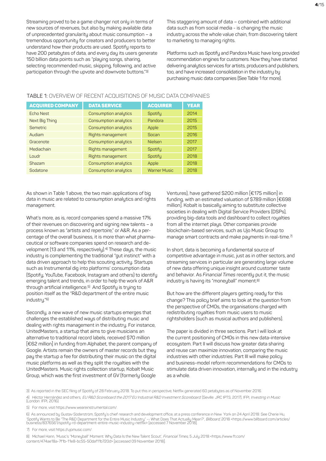Streaming proved to be a game changer not only in terms of new sources of revenues, but also by making available data of unprecedented granularity about music consumption – a tremendous opportunity for creators and producers to better understand how their products are used. Spotify reports to have 200 petabytes of data, and every day its users generate 150 billion data points such as "playing songs, sharing, selecting recommended music, skipping, following, and active participation through the upvote and downvote buttons."3)

This staggering amount of data – combined with additional data such as from social media - is changing the music industry across the whole value chain, from discovering talent to marketing to managing rights.

Platforms such as Spotify and Pandora Music have long provided recommendation engines for customers. Now they have started delivering analytics services for artists, producers and publishers, too, and have increased consolidation in the industry by purchasing music data companies (See Table 1 for more).

| <b>ACQUIRED COMPANY</b> | <b>DATA SERVICE</b>              | <b>ACQUIRER</b>     | <b>YEAR</b> |
|-------------------------|----------------------------------|---------------------|-------------|
| <b>Echo Nest</b>        | Consumption analytics<br>Spotify |                     | 2014        |
| Next Big Thing          | Consumption analytics            | Pandora             | 2015        |
| <b>Semetric</b>         | Consumption analytics            | Apple               | 2015        |
| Audiam                  | Rights management                | Socan               | 2016        |
| Gracenote               | Consumption analytics            | <b>Nielsen</b>      | 2017        |
| Mediachain              | Rights management                | Spotify             | 2017        |
| Loudr                   | Rights management                | Spotify             | 2018        |
| Shazam                  | Consumption analytics<br>Apple   |                     | 2018        |
| Sodatone                | Consumption analytics            | <b>Warner Music</b> | 2018        |

#### TABLE 1: Overview of recent acquisitions of music data companies

As shown in Table 1 above, the two main applications of big data in music are related to consumption analytics and rights management.

What's more, as is, record companies spend a massive 17% of their revenues on discovering and signing new talents – a process known as "artists and repertoire," or A&R. As a percentage of the overall business, it is more than what pharmaceutical or software companies spend on research and development (13 and 11%, respectively).<sup>4)</sup> These days, the music industry is complementing the traditional "gut instinct" with a data driven approach to help this scouting activity. Startups such as Instrumental dig into platforms' consumption data (Spotify, YouTube, Facebook, Instagram and others) to identify emerging talent and trends, in order to help the work of A&R through artificial intelligence.5) And Spotify is trying to position itself as the "R&D department of the entire music industry."6)

Secondly, a new wave of new music startups emerges that challenges the established ways of distributing music and dealing with rights management in the industry. For instance, UnitedMasters, a startup that aims to give musicians an alternative to traditional record labels, received \$70 million [€62 million] in funding from Alphabet, the parent company of Google. Artists remain the owners of master records but they pay the startup a fee for distributing their music on the digital music platforms as well as they split the royalties with the UnitedMasters. Music rights collection startup, Kobalt Music Group, which was the first investment of GV (formerly Google

Ventures), have gathered \$200 million [€175 million] in funding, with an estimated valuation of \$789 million [€698 million]. Kobalt is basically aiming to substitute collective societies in dealing with Digital Service Providers (DSPs), providing big-data tools and dashboard to collect royalties from all the internet plays. Other companies provide blockchain-based services, such as Ujo Music Group to manage smart contracts and make payments in real-time.7)

In short, data is becoming a fundamental source of competitive advantage in music, just as in other sectors, and streaming services in particular are generating large volume of new data offering unique insight around customer taste and behavior. As *Financial Times* recently put it, the music industry is having its "moneyball" moment.<sup>8)</sup>

But how are the different players getting ready for this change? This policy brief aims to look at the question from the perspective of CMOs, the organisations charged with redistributing royalties from music users to music rightsholders (such as musical authors and publishers).

The paper is divided in three sections. Part I will look at the current positioning of CMOs in this new data-intensive ecosystem. Part II will discuss how greater data sharing and reuse can maximize innovation, comparing the music industries with other industries. Part III will make policy and business-model reform recommendations for CMOs to stimulate data driven innovation, internally and in the industry as a whole.

3) As reported in the SEC filing of Spotify of 28 February 2018. To put this in perspective, Netflix generated 60 petabytes as of November 2016. 4) Héctor Hernández and others, *EU R&D Scoreboard the 2017 EU Industrial R&D Investment Scoreboard.* (Seville: JRC IPTS, 2017); IFPI, *Investing in Music*<br>(London: IFPI, 2016).

5) For more, visit https://www.weareinstrumental.com/

6) As announced by Gustav Söderström, Spotify's chief research and development office, at a press conference in New York on 24 April 2018. See Cherie Hu, 'Spotify Wants to Be "The R&D Department for the Entire Music Industry" -- What Does That Actually Mean?', *Billboard,* 2018 <https://www.billboard.com/articles/<br>business/8376561/spotify-rd-department-entire-music-industry

7) For more, visit https://ujomusic.com/.

8) Michael Hann, 'Music's "Moneyball" Moment: Why Data Is the New Talent Scout', Financial Times, 5 July 2018 <https://www.ft.com/ content/474ae18a-7f1b-11e8-bc55-50daf11b720d> [accessed 09 November 2018].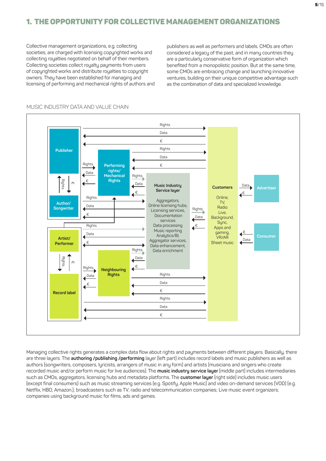# 1. The opportunity for Collective Management Organizations

Collective management organizations, e.g. collecting societies, are charged with licensing copurighted works and collecting royalties negotiated on behalf of their members. Collecting societies collect royalty payments from users of copyrighted works and distribute royalties to copyright owners. They have been established for managing and licensing of performing and mechanical rights of authors and publishers as well as performers and labels. CMOs are often considered a legacy of the past, and in many countries they are a particularly conservative form of organization which benefited from a monopolistic position. But at the same time, some CMOs are embracing change and launching innovative ventures, building on their unique competitive advantage such as the combination of data and specialized knowledge.



#### MUSIC INDUSTRY DATA AND VALUE CHAIN

Managing collective rights generates a complex data flow about rights and payments between different players. Basically, there are three layers. The **authoring /publishing /performing** layer (left part) includes record labels and music publishers as well as authors (songwriters, composers, lyricists, arrangers of music in any form) and artists (musicians and singers who create recorded music and/or perform music for live audiences). The **music industry service layer** (middle part) includes intermediaries such as CMOs, aggregators, licensing hubs and metadata platforms. The **customer layer** (right side) includes music users (except final consumers) such as music streaming services (e.g. Spotify, Apple Music) and video on-demand services (VOD) (e.g. Netflix, HBO, Amazon.); broadcasters such as TV, radio and telecommunication companies; Live music event organizers; companies using background music for films, ads and games.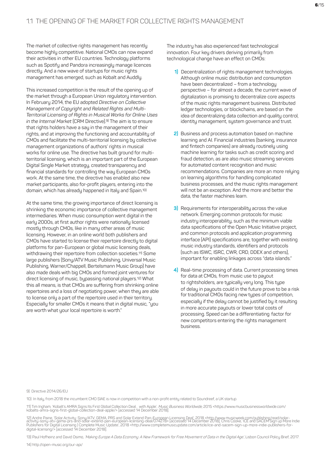The market of collective rights management has recently become highly competitive. National CMOs can now expand their activities in other EU countries. Technology platforms such as Spotify and Pandora increasingly manage licences directly. And a new wave of startups for music rights management has emerged, such as Kobalt and Auddly.

This increased competition is the result of the opening up of the market through a European Union regulatory intervention. In February 2014, the EU adopted *Directive on Collective Management of Copyright and Related Rights and Multi-Territorial Licensing of Rights in Musical Works for Online Uses in the Internal Market* (CRM Directive).9) The aim is to ensure that rights holders have a say in the management of their rights, and at improving the functioning and accountability of CMOs and facilitate the multi-territorial licensing by collective management organizations of authors' rights in musical works for online use. The directive has built ground for multiterritorial licensing, which is an important part of the European Digital Single Market strategy, created transparency and financial standards for controlling the way European CMOs work. At the same time, the directive has enabled also new market participants, also for-profit players, entering into the domain, which has already happened in Italy and Spain.10)

At the same time, the growing importance of direct licensing is shrinking the economic importance of collective management intermediaries. When music consumption went digital in the early 2000s, at first author rights were nationally licensed mostly through CMOs, like in many other areas of music licensing. However, in an online world both publishers and CMOs have started to license their repertoire directly to digital platforms for pan-European or global music licensing deals, withdrawing their repertoire from collection societies.<sup>11)</sup> Some large publishers (Sony/ATV Music Publishing, Universal Music Publishing, Warner/Chappell, Bertelsmann Music Group) have also made deals with big CMOs and formed joint ventures for direct licensing of music, bypassing national players.12) What this all means, is that CMOs are suffering from shrinking online repertoires and a loss of negotiating power, when they are able to license only a part of the repertoire used in their territory. Especially for smaller CMOs it means that in digital music, "you are worth what your local repertoire is worth."

The industry has also experienced fast technological innovation. Four key drivers deriving primarily from technological change have an effect on CMOs:

- **1)** Decentralization of rights management technologies. Although online music distribution and consumption have been decentralized – from a technology perspective – for almost a decade, the current wave of digitalization is promising to decentralize core aspects of the music rights management business. Distributed ledger technologies, or blockchains, are based on the idea of decentralizing data collection and quality control, identity management, system governance and trust.
- **2)** Business and process automation based on machine learning and AI. Financial industries (banking, insurance and fintech companies) are already routinely using machine learning for tasks such as credit scoring and fraud detection, as are also music streaming services for automated content recognition and music recommendations. Companies are more an more relying on learning algorithms for handling complicated business processes, and the music rights management will not be an exception. And the more and better the data, the faster machines learn.
- **3)** Requirements for interoperability across the value network. Emerging common protocols for music industry interoperability, such as the minimum viable data specifications of the Open Music Initiative project, and common protocols and application programming interface (API) specifications are, together with existing music industry standards, identifiers and protocols (such as ISWC, ISRC, CWR, CRD, DDEX and others), important for enabling linkages across "data islands."
- **4)** Real-time processing of data. Current processing times for data at CMOs, from music use to payout to rightsholders, are typically very long. This type of delay in payouts could in the future prove to be a risk for traditional CMOs facing new types of competition, especially if the delay cannot be justified by it resulting in more accurate payouts or lower total costs of processing. Speed can be a differentiating factor for new competitors entering the rights management business.

#### 9) Directive 2014/26/EU

10) In Italy, from 2018 the incumbent CMO SIAE is now in competition with a non-profit entity related to Soundreef, a UK startup.

11) Tim Ingham, 'Kobalt's AMRA Signs Its First Global Collection Deal… with Apple'*, Music Business Worldwide*, 2015 <https://www.musicbusinessworldwide.com/<br>kobalts-amra-signs-first-global-collection-deal-apple/> [accesse

.<br>12) Andre Paine, 'Solar Activity: Sony/ATV, GEMA, PRS and Solar Extend Pan-European Licensing Deal', 2018 <http://www.musicweek.com/publishing/read/solar-<br>activity-sony-atv-gema-prs-and-solar-extend-pan-european-licensin Publishers for Digital Licensing | Complete Music Update', 2018 <http://www.completemusicupdate.com/article/ice-and-sacem-sign-up-more-indie-publishers-fordigital-licensing/> [accessed 14 December 2018].

13) Paul Hofheinz and David Osimo, 'Making Europe A Data Economy: A New Framework for Free Movement of Data in the Digital Age', Lisbon Council Policy Brief, 2017.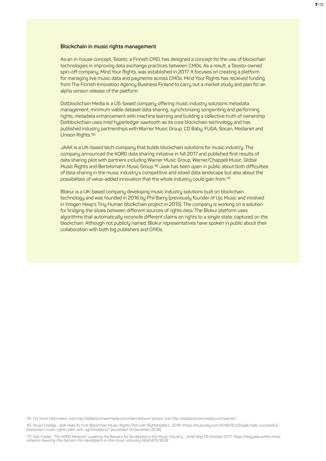#### **Blockchain in music rights management**

As an in-house concept, Teosto, a Finnish CMO, has designed a concept for the use of blockchain technologies in improving data exchange practices between CMOs. As a result, a Teosto-owned spin-off company, Mind Your Rights, was established in 2017. It focuses on creating a platform for managing live music data and payments across CMOs. Mind Your Rights has received funding from The Finnish Innovation Agency Business Finland to carry out a market study and plan for an alpha version release of the platform.

Dotblockchain Media is a US-based company offering music industry solutions metadata management, minimum viable dataset data sharing, synchronizing songwriting and performing rights, metadata enhancement with machine learning and building a collective truth of ownership. Dotblockchain uses Intel hyperledger sawtooth as its core blockchain technology and has published industry partnerships with Warner Music Group, CD Baby, FUGA, Socan, Medianet and Unison Rights.15)

JAAK is a UK-based tech-company that builds blockchain solutions for music industry. The company announced the KORD data sharing initiative in fall 2017 and published first results of data sharing pilot with partners including Warner Music Group, Warner/Chappell Music, Global Music Rights and Bertelsmann Music Group.16) Jaak has been open in public about both difficulties of data sharing in the music industry's competitive and siloed data landscape but also about the possibilities of value-added innovation that the whole industry could gain from.17)

Blokur is a UK-based company developing music industry solutions built on blockchain technology and was founded in 2016 by Phil Barry (previously founder of Ujo Music and involved in Imogen Heap's Tiny Human blockchain project in 2015). The company is working on a solution for bridging the siloes between different sources of rights data. The Blokur platform uses algorithms that automatically reconcile different claims on rights to a single state, captured on the blockchain. Although not publicly named, Blokur representatives have spoken in public about their collaboration with both big publishers and CMOs.

15) For more information, visit http://dotblockchainmedia.com/main/#about-section and http://dotblockchainmedia.com/warner/.

16) Stuart Dredge, 'Jaak Hails Its First Blockchain Music-Rights Pilot with Rightsholders', 2018 <https://musically.com/2018/05/02/jaak-hails-successfulblockchain-music-rights-pilot-with-rightsholders/> [accessed 14 December 2018].

17) Dan Fowler, "The KORD Network: Lowering the Barriers for Developers in the Music Industry," JAAK blog, 05 October 2017. https://blog.jaak.jo/the-metanetwork-lowering-the-barriers-for-developers-in-the-music-industry-b0a0431c3528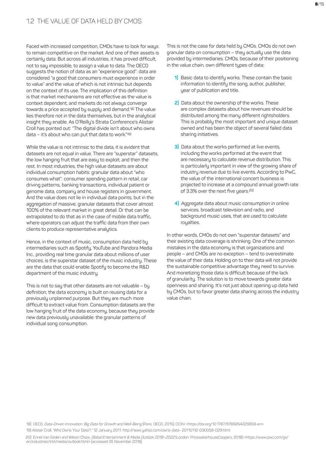Faced with increased competition, CMOs have to look for ways to remain competitive on the market. And one of their assets is certainly data. But across all industries, it has proved difficult, not to say impossible, to assign a value to data. The OECD suggests the notion of data as an "experience good": data are considered "a good that consumers must experience in order to value" and the value of which is not intrinsic but depends on the context of its use. The implication of this definition is that market mechanisms are not effective as the value is context dependent, and markets do not always converge towards a price accepted by supply and demand.18) The value lies therefore not in the data themselves, but in the analytical insight they enable. As O'Reilly's Strata Conference's Alistair Croll has pointed out: "The digital divide isn't about who owns data – it's about who can put that data to work." 19)

While the value is not intrinsic to the data, it is evident that datasets are not equal in value. There are "superstar" datasets, the low hanging fruit that are easy to exploit, and then the rest. In most industries, the high value datasets are about individual consumption habits: granular data about "who consumes what": consumer spending pattern in retail, car driving patterns, banking transactions, individual patient or genome data, company and house registers in government. And the value does not lie in individual data points, but in the aggregation of massive, granular datasets that cover almost 100% of the relevant market in great detail. Or that can be extrapolated to do that as in the case of mobile data traffic, where operators can adjust the traffic data from their own clients to produce representative analytics.

Hence, in the context of music, consumption data held by intermediaries such as Spotify, YouTube and Pandora Media Inc., providing real time granular data about millions of user choices, is the superstar dataset of the music industry. These are the data that could enable Spotify to become the R&D department of the music industry.

This is not to say that other datasets are not valuable – by definition, the data economy is built on reusing data for a previously unplanned purpose. But they are much more difficult to extract value from. Consumption datasets are the low hanging fruit of the data economy, because they provide new data previously unavailable: the granular patterns of individual song consumption.

This is not the case for data held by CMOs. CMOs do not own granular data on consumption – they actually use the data provided by intermediaries. CMOs, because of their positioning in the value chain, own different types of data:

- **1)** Basic data to identify works. These contain the basic information to identify the song, author, publisher, year of publication and title.
- **2)** Data about the ownership of the works. These are complex datasets about how revenues should be distributed among the many different rightsholders. This is probably the most important and unique dataset owned and has been the object of several failed data sharing initiatives.
- **3)** Data about the works performed at live events, including the works performed at the event that are necessary to calculate revenue distribution. This is particularly important in view of the growing share of industry revenue due to live events. According to PwC, the value of the international concert business is projected to increase at a compound annual growth rate of 3.3% over the next five years.<sup>20)</sup>
- **4)** Aggregate data about music consumption in online services, broadcast television and radio, and background music uses, that are used to calculate royalties.

In other words, CMOs do not own "superstar datasets" and their existing data coverage is shrinking. One of the common mistakes in the data economy is that organizations and people – and CMOs are no exception – tend to overestimate the value of their data. Holding on to their data will not provide the sustainable competitive advantage they need to survive. And monetizing those data is difficult because of the lack of granularity. The solution is to move towards greater data openness and sharing. It's not just about opening up data held by CMOs, but to favor greater data sharing across the industry value chain.

18) OECD, Data-Driven Innovation: Big Data for Growth and Well-Being (Paris: OECD, 2015), CCXV <https://doi.org/10.1787/9789264229358-en>

19) Alistair Croll, "Who Owns Your Data?," 12 January 2011. http://news.yahoo.com/owns-data- 20110112-030058-029.html

20) Ennel Van Eeden and Wilson Chow, Global Entertainment & Media Outlook 2018–2022 (London: PricewaterhouseCoopers, 2018) <https://www.pwc.com/gx/ en/industries/tmt/media/outlook.html> [accessed 05 November 2018].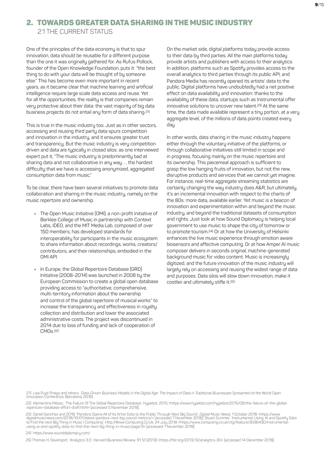## 2. Towards greater data sharing in the music industry

2.1 The current status

One of the principles of the data economy is that to spur innovation, data should be reusable for a different purpose than the one it was originally gathered for. As Rufus Pollock, founder of the Open Knowledge Foundation, puts it: "the best thing to do with your data will be thought of by someone else." This has become even more important in recent years, as it became clear that machine learning and artificial intelligence require large scale data access and reuse. Yet for all the opportunities, the reality is that companies remain very protective about their data: the vast majority of big data business projects do not entail any form of data sharing.<sup>21)</sup>

This is true in the music industry too. Just as in other sectors, accessing and reusing third party data spurs competition and innovation in the industry, and it ensures greater trust and transparency. But the music industry is very competition driven and data are typically in closed silos: as one interviewed expert put it, "The music industry is predominantly bad at sharing data and not collaborative in any way. … the hardest difficulty that we have is accessing anonymized, aggregated consumption data from music."

To be clear, there have been several initiatives to promote data collaboration and sharing in the music industry, namely on the music repertoire and ownership.

- The Open Music Initiative (OMI), a non-profit initiative of Berklee College of Music in partnership with Context Labs, IDEO, and the MIT Media Lab, composed of over 150 members, has developed standards for interoperability for participants in the music ecosustem to share information about recordings, works, creators/ contributors, and their relationships, embodied in the OMI API.
- In Europe, the Global Repertoire Database (GRD) Initiative (2008-2014) was launched in 2008 by the European Commission to create a global open database providing access to "authoritative, comprehensive, multi-territory information about the ownership and control of the global repertoire of musical works" to increase the transparency and effectiveness in royalty collection and distribution and lower the associated administrative costs. The project was discontinued in 2014 due to loss of funding and lack of cooperation of  $CMD<sub>c</sub>$  22)

On the market side, digital platforms today provide access to their data by third parties. All the main platforms today provide artists and publishers with access to their analytics. In addition, platforms such as Spotify provides access to the overall analytics to third parties through its public API, and Pandora Media has recently opened its artists' data to the public. Digital platforms have undoubtedly had a net positive effect on data availability and innovation: thanks to the availability of these data, startups such as Instrumental offer innovative solutions to uncover new talent.23) At the same time, the data made available represent a tinu portion, at a very aggregate level, of the millions of data points created every day.

In other words, data sharing in the music industry happens either through the voluntary initiative of the platforms, or through collaborative initiatives still limited in scope and in progress, focusing mainly on the music repertoire and its ownership. This piecemeal approach is sufficient to grasp the low hanging fruits of innovation, but not the new, disruptive products and services that we cannot yet imagine. For instance, real-time aggregate streaming statistics are certainly changing the way industry does A&R, but ultimately, it's an incremental innovation with respect to the charts of the 80s: more data, available earlier. Yet music is a beacon of innovation and experimentation within and beyond the music industry, and beyond the traditional datasets of consumption and rights. Just look at how Sound Diplomacy is helping local government to use music to shape the city of tomorrow or to promote tourism.24) Or at how the University of Helsinki enhances the live music experience through emotion aware biosensors and affective computing. Or at how Amper AI music composer delivers in seconds original, machine-generated background music for video content. Music is increasingly digitized, and the future innovation of the music industry will largely rely on accessing and reusing the widest range of data and purposes. Data silos will slow down innovation, make it costlier and ultimately stifle it.25)

21) Laia Pujol Priego and others, *'Data-Driven Business Models in the Digital Age: The Impact of Data in Traditional Businesses'* (presented at the World Open<br>Innovation Conference, Barcelona, 2016).

22) Klementina Milosic, 'The Failure Of The Global Repertoire Database', Hypebot, 2015 <https://www.hypebot.com/hypebot/2015/08/the-failure-of-the-globalrepertoire-database-effort-draft.html> [accessed 5 November 2018].

23) Daniel Sanchez and 2018, 'Pandora Opens All of Its Artist Data to the Public Through Next Big Sound', *Digital Music News,* 1 October 2018 <https://www.<br>digitalmusicnews.com/2018/10/01/latest-pandora-next-big-sound-met

24) https://www.sounddiplomacu.com/

25) Thomas H. Davenport, 'Analytics 3.0', Harvard Business Review, 91.12 (2013) <https://hbr.org/2013/12/analytics-30> [accessed 14 December 2018].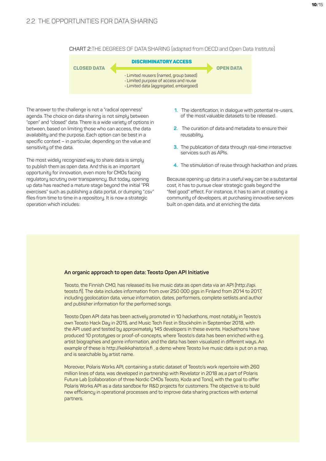10/15

CHART 2:The degrees of data sharing (adapted from OECD and Open Data Institute)



The answer to the challenge is not a "radical openness" agenda. The choice on data sharing is not simply between "open" and "closed" data. There is a wide variety of options in between, based on limiting those who can access, the data availability and the purpose. Each option can be best in a specific context – in particular, depending on the value and sensitivity of the data.

The most widely recognized way to share data is simply to publish them as open data. And this is an important opportunity for innovation, even more for CMOs facing regulatory scrutiny over transparency. But today, opening up data has reached a mature stage beyond the initial "PR exercises" such as publishing a data portal, or dumping ".csv" files from time to time in a repository. It is now a strategic operation which includes:

- **1.** The identification, in dialogue with potential re-users, of the most valuable datasets to be released.
- **2.** The curation of data and metadata to ensure their reusability.
- **3.** The publication of data through real-time interactive services such as APIs.
- **4.** The stimulation of reuse through hackathon and prizes.

Because opening up data in a useful way can be a substantial cost, it has to pursue clear strategic goals beyond the "feel good" effect. For instance, it has to aim at creating a community of developers, at purchasing innovative services built on open data, and at enriching the data.

#### **An organic approach to open data: Teosto Open API Initiative**

Teosto, the Finnish CMO, has released its live music data as open data via an API (http://api. teosto.fi). The data includes information from over 250 000 gigs in Finland from 2014 to 2017, including geolocation data, venue information, dates, performers, complete setlists and author and publisher information for the performed songs.

Teosto Open API data has been actively promoted in 10 hackathons, most notably in Teosto's own Teosto Hack Day in 2015, and Music Tech Fest in Stockholm in September 2018, with the API used and tested by approximately 145 developers in these events. Hackathons have produced 10 prototypes or proof-of-concepts, where Teosto's data has been enriched with e.g. artist biographies and genre information, and the data has been visualized in different ways. An example of these is http://keikkahistoria.fi, a demo where Teosto live music data is put on a map, and is searchable by artist name.

Moreover, Polaris Works API, containing a static dataset of Teosto's work repertoire with 260 million lines of data, was developed in partnership with Revelator in 2018 as a part of Polaris Future Lab (collaboration of three Nordic CMOs Teosto, Koda and Tono), with the goal to offer Polaris Works API as a data sandbox for R&D projects for customers. The objective is to build new efficiency in operational processes and to improve data sharing practices with external partners.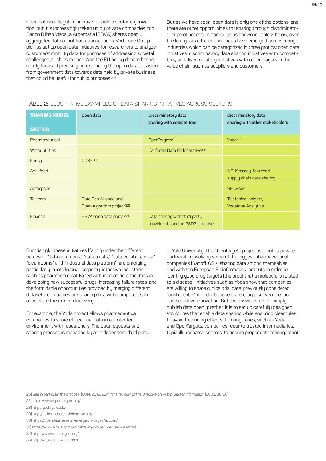Open data is a flagship initiative for public sector organization, but it is increasingly taken up by private companies, too. Banco Bilbao Vizcaya Argentaria (BBVA) shares openly aggregated data about bank transactions. Vodafone Group plc has set up open data initiatives for researchers to analyze customers' mobility data for purposes of addressing societal challenges, such as malaria. And the EU policy debate has recently focused precisely on extending the open data provision from government data towards data held by private business that could be useful for public purposes.26)

But as we have seen, open data is only one of the options, and there are other opportunities for sharing through discriminatory type of access. In particular, as shown in Table 2 below, over the last years different solutions have emerged across many industries which can be categorized in three groups: open data initiatives, discriminatory data sharing initiatives with competitors, and discriminatory initiatives with other players in the value chain, such as suppliers and customers.

#### TABLE 2: Illustrative examples of data sharing initiatives across sectors

| <b>SHARING MODEL</b> | Open data                                                      | Discriminatory data<br>sharing with competitors                    | Discriminatory data<br>sharing with other stakeholders |
|----------------------|----------------------------------------------------------------|--------------------------------------------------------------------|--------------------------------------------------------|
| <b>SECTOR</b>        |                                                                |                                                                    |                                                        |
| Pharmaceutical       |                                                                | OpenTargets <sup>27)</sup>                                         | Yoda <sup>28)</sup>                                    |
| Water utilities      |                                                                | California Data Collaborative <sup>29)</sup>                       |                                                        |
| Energy               | ODRE30                                                         |                                                                    |                                                        |
| Agri-food            |                                                                |                                                                    | A.T. Kearney fast food<br>supply chain data sharing    |
| Aerospace            |                                                                |                                                                    | Skywise <sup>31)</sup>                                 |
| Telecom              | Data Pop Alliance and<br>Open Algorithm project <sup>32)</sup> |                                                                    | Telefonica Insights,<br><b>Vodafone Analytics</b>      |
| Finance              | BBVA open data portal <sup>33)</sup>                           | Data sharing with third party<br>providers based on PSD2 directive |                                                        |

Surprisingly, these initiatives (falling under the different names of "data commons," "data trusts," "data collaboratives," "cleanrooms" and "industrial data platform") are emerging particularly in intellectual-property-intensive industries such as pharmaceutical. Faced with increasing difficulties in developing new successful drugs, increasing failure rates, and the formidable opportunities provided by merging different datasets, companies are sharing data with competitors to accelerate the rate of discovery.

For example, the Yoda project allows pharmaceutical companies to share clinical trial data in a protected environment with researchers. The data requests and sharing process is managed by an independent third party at Yale University. The OpenTargets project is a public private partnership involving some of the biggest pharmaceutical companies (Sanofi, GSK) sharing data among themselves and with the European Bioinformatics Institute in order to identify good drug targets (the proof that a molecule is related to a disease). Initiatives such as Yoda show that companies are willing to share clinical trial data, previously considered "unshareable" in order to accelerate drug discovery, reduce costs or drive innovation. But the answer is not to simply publish data openly: rather, it is to set up carefully designed structures that enable data sharing while ensuring clear rules to avoid free riding effects. In many cases, such as Yoda and OpenTargets, companies recur to trusted intermediaries, typically research centers, to ensure proper data management.

26) See in particular the proposal (COM/2018/234) for a revision of the Directive on Public Sector Information (2003/98/EC).

27) https://www.opentargets.org/

- 28) http://yoda.yale.edu/
- 29) http://californiadatacollaborative.org/
- 30) https://opendata.reseaux-energies.fr/pages/accueil/
- 31) https://www.airbus.com/aircraft/support-services/skywise.html
- 32) https://www.opalproject.org/
- 33) https://bbvaopen4u.com/es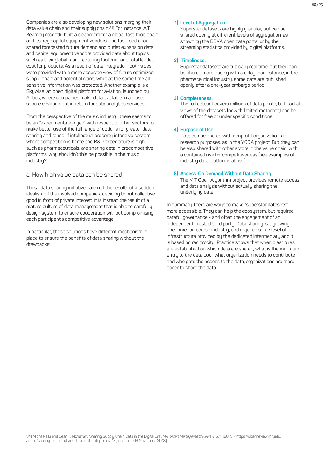Companies are also developing new solutions merging their data value chain and their supply chain.34) For instance, A.T. Kearney recently built a cleanroom for a global fast-food chain and its key capital equipment vendors. The fast food chain shared forecasted future demand and outlet expansion data and capital equipment vendors provided data about topics such as their global manufacturing footprint and total landed cost for products. As a result of data integration, both sides were provided with a more accurate view of future optimized supply chain and potential gains, while at the same time all sensitive information was protected. Another example is a Skywise, an open digital platform for aviation, launched by Airbus, where companies make data available in a close, secure environment in return for data analytics services.

From the perspective of the music industry, there seems to be an "experimentation gap" with respect to other sectors to make better use of the full range of options for greater data sharing and reuse. If intellectual property intensive sectors where competition is fierce and R&D expenditure is high, such as pharmaceuticals, are sharing data in precompetitive platforms, why shouldn't this be possible in the music industru?

#### a. How high value data can be shared

These data sharing initiatives are not the results of a sudden idealism of the involved companies, deciding to put collective good in front of private interest. It is instead the result of a mature culture of data management that is able to carefully design system to ensure cooperation without compromising each participant's competitive advantage.

In particular, these solutions have different mechanism in place to ensure the benefits of data sharing without the drawbacks:

#### **1) Level of Aggregation**.

Superstar datasets are highly granular, but can be shared openly at different levels of aggregation, as shown by the BBVA open data portal or by the streaming statistics provided by digital platforms.

#### **2) Timeliness.**

Superstar datasets are typically real time, but they can be shared more openly with a delay. For instance, in the pharmaceutical industry, some data are published openly after a one-year embargo period.

#### **3) Completeness.**

The full dataset covers millions of data points, but partial views of the datasets (or with limited metadata) can be offered for free or under specific conditions.

#### **4) Purpose of Use.**

Data can be shared with nonprofit organizations for research purposes, as in the YODA project. But they can be also shared with other actors in the value chain, with a contained risk for competitiveness (see examples of industry data platforms above).

#### **5) Access-On Demand Without Data Sharing.**

The MIT Open Algorithm project provides remote access and data analysis without actually sharing the underluing data.

In summary. there are ways to make "superstar datasets" more accessible. They can help the ecosystem, but required careful governance - and often the engagement of an independent, trusted third party. Data sharing is a growing phenomenon across industry, and requires some level of infrastructure provided by the dedicated intermediary and it is based on reciprocity. Practice shows that when clear rules are established on which data are shared, what is the minimum entry to the data pool, what organization needs to contribute and who gets the access to the data, organizations are more eager to share the data.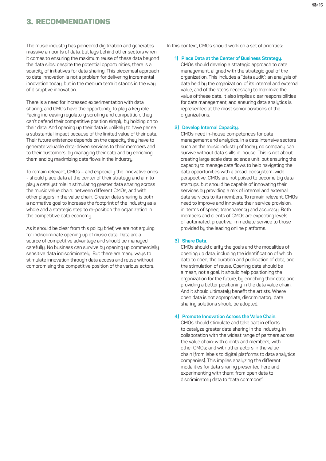### 3. Recommendations

The music industry has pioneered digitization and generates massive amounts of data, but lags behind other sectors when it comes to ensuring the maximum reuse of these data beyond the data silos: despite the potential opportunities, there is a scarcity of initiatives for data sharing. This piecemeal approach to data innovation is not a problem for delivering incremental innovation today, but in the medium term it stands in the way of disruptive innovation.

There is a need for increased experimentation with data sharing, and CMOs have the opportunity to play a key role. Facing increasing regulatory scrutiny and competition, they can't defend their competitive position simply by holding on to their data. And opening up their data is unlikely to have per se a substantial impact because of the limited value of their data. Their future existence depends on the capacity they have to generate valuable data-driven services to their members and to their customers: by managing their data and by enriching them and by maximizing data flows in the industry.

To remain relevant, CMOs – and especially the innovative ones - should place data at the center of their strategy and aim to play a catalyst role in stimulating greater data sharing across the music value chain: between different CMOs, and with other players in the value chain. Greater data sharing is both a normative goal to increase the footprint of the industry as a whole and a strategic step to re-position the organization in the competitive data economy.

As it should be clear from this policy brief, we are not arguing for indiscriminate opening up of music data. Data are a source of competitive advantage and should be managed carefully. No business can survive by opening up commercially sensitive data indiscriminately. But there are many ways to stimulate innovation through data access and reuse without compromising the competitive position of the various actors.

In this context, CMOs should work on a set of priorities:

#### **1) Place Data at the Center of Business Strategy.**

CMOs should develop a strategic approach to data management, aligned with the strategic goal of the organization. This includes a "data audit": an analysis of data held by the organization, of its internal and external value, and of the steps necessary to maximize the value of these data. It also implies clear responsibilities for data management, and ensuring data analytics is represented at the most senior positions of the organizations.

#### **2) Develop Internal Capacity.**

CMOs need in-house competences for data management and analytics. In a data intensive sectors such as the music industry of today, no company can survive without data skills in-house. This is not about creating large scale data science unit, but ensuring the capacity to manage data flows to help navigating the data opportunities with a broad, ecosustem-wide perspective. CMOs are not poised to become big data startups, but should be capable of innovating their services by providing a mix of internal and external data services to its members. To remain relevant, CMOs need to improve and innovate their service provision, in terms of speed, transparency and accuracy. Both members and clients of CMOs are expecting levels of automated, proactive, immediate service to those provided by the leading online platforms.

#### **3) Share Data.**

CMOs should clarify the goals and the modalities of opening up data, including the identification of which data to open, the curation and publication of data, and the stimulation of reuse. Opening data should be a mean, not a goal. It should help positioning the organization for the future, by enriching their data and providing a better positioning in the data value chain. And it should ultimately benefit the artists. Where open data is not appropriate, discriminatory data sharing solutions should be adopted.

#### **4) Promote Innovation Across the Value Chain.**

CMOs should stimulate and take part in efforts to catalyze greater data sharing in the industry, in collaboration with the widest range of partners across the value chain: with clients and members; with other CMOs; and with other actors in the value chain (from labels to digital platforms to data analytics companies). This implies analyzing the different modalities for data sharing presented here and experimenting with them: from open data to discriminatory data to "data commons".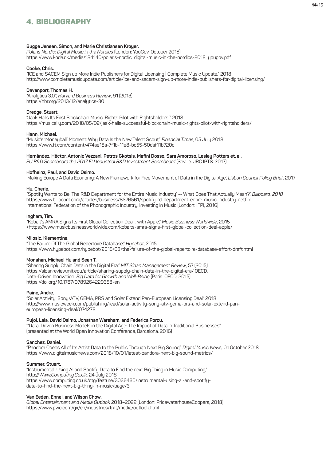# 4. Bibliography

#### **Bugge Jensen, Simon, and Marie Christiansen Kroyer.**

*Polaris Nordic: Digital Music in the Nordics* (London: YouGov, October 2018) https://www.koda.dk/media/184140/polaris-nordic\_digital-music-in-the-nordics-2018\_yougov.pdf

#### **Cooke, Chris.**

"ICE and SACEM Sign up More Indie Publishers for Digital Licensing | Complete Music Update," 2018 http://www.completemusicupdate.com/article/ice-and-sacem-sign-up-more-indie-publishers-for-digital-licensing/

#### **Davenport, Thomas H.**

"Analytics 3.0,", *Harvard Business Review*, 91 (2013) https://hbr.org/2013/12/analytics-30

#### **Dredge, Stuart.**

"Jaak Hails Its First Blockchain Music-Rights Pilot with Rightsholders.'" 2018 https://musically.com/2018/05/02/jaak-hails-successful-blockchain-music-rights-pilot-with-rightsholders/

#### **Hann, Michael.**

"Music's 'Moneyball' Moment: Why Data Is the New Talent Scout," *Financial Times*, 05 July 2018 https://www.ft.com/content/474ae18a-7f1b-11e8-bc55-50daf11b720d

#### **Hernández, Héctor, Antonio Vezzani, Petros Gkotsis, Mafini Dosso, Sara Amoroso, Lesley Potters et. al.**

*EU R&D Scoreboard the 2017 EU Industrial R&D Investment Scoreboard* (Seville: JRC IPTS, 2017)

#### **Hofheinz, Paul, and David Osimo.**

'Making Europe A Data Economy: A New Framework for Free Movement of Data in the Digital Age', *Lisbon Council Policy Brief*, 2017

#### **Hu, Cherie.**

"Spotify Wants to Be 'The R&D Department for the Entire Music Industry' -- What Does That Actually Mean?,' *Billboard, 2018* https://www.billboard.com/articles/business/8376561/spotify-rd-department-entire-music-industry-netflix International Federation of the Phonographic Industry. Investing in Music (London: IFPI, 2016)

#### **Ingham, Tim.**

"Kobalt's AMRA Signs Its First Global Collection Deal... with Apple," *Music Business Worldwide*, 2015 <https://www.musicbusinessworldwide.com/kobalts-amra-signs-first-global-collection-deal-apple/

#### **Milosic, Klementina.**

"The Failure Of The Global Repertoire Database," *Hypebot*, 2015 https://www.hypebot.com/hypebot/2015/08/the-failure-of-the-global-repertoire-database-effort-draft.html

#### **Monahan, Michael Hu and Sean T.**,

"Sharing Supply Chain Data in the Digital Era." *MIT Sloan Management Review*, 57 (2015) https://sloanreview.mit.edu/article/sharing-supply-chain-data-in-the-digital-era/ OECD. Data-Driven Innovation: *Big Data for Growth and Well-Being* (Paris: OECD, 2015) https://doi.org/10.1787/9789264229358-en

#### **Paine, Andre.**

"Solar Activity: Sony/ATV, GEMA, PRS and Solar Extend Pan-European Licensing Deal" 2018 http://www.musicweek.com/publishing/read/solar-activity-sony-atv-gema-prs-and-solar-extend-paneuropean-licensing-deal/074278

#### **Pujol, Laia, David Osimo, Jonathan Wareham, and Federica Porcu.**

'"Data-Driven Business Models in the Digital Age: The Impact of Data in Traditional Businesses" (presented at the World Open Innovation Conference, Barcelona, 2016)

#### **Sanchez, Daniel.**

"Pandora Opens All of Its Artist Data to the Public Through Next Big Sound," *Digital Music News*, 01 October 2018 https://www.digitalmusicnews.com/2018/10/01/latest-pandora-next-big-sound-metrics/

#### **Summer, Stuart.**

"Instrumental: Using AI and Spotify Data to Find the next Big Thing in Music Computing," http://*Www.Computing.Co.Uk*, 24 July 2018 https://www.computing.co.uk/ctg/feature/3036430/instrumental-using-ai-and-spotifydata-to-find-the-next-big-thing-in-music/page/3

#### **Van Eeden, Ennel, and Wilson Chow.**

*Global Entertainment and Media Outlook* 2018–2022 (London: PricewaterhouseCoopers, 2018) https://www.pwc.com/gx/en/industries/tmt/media/outlook.html